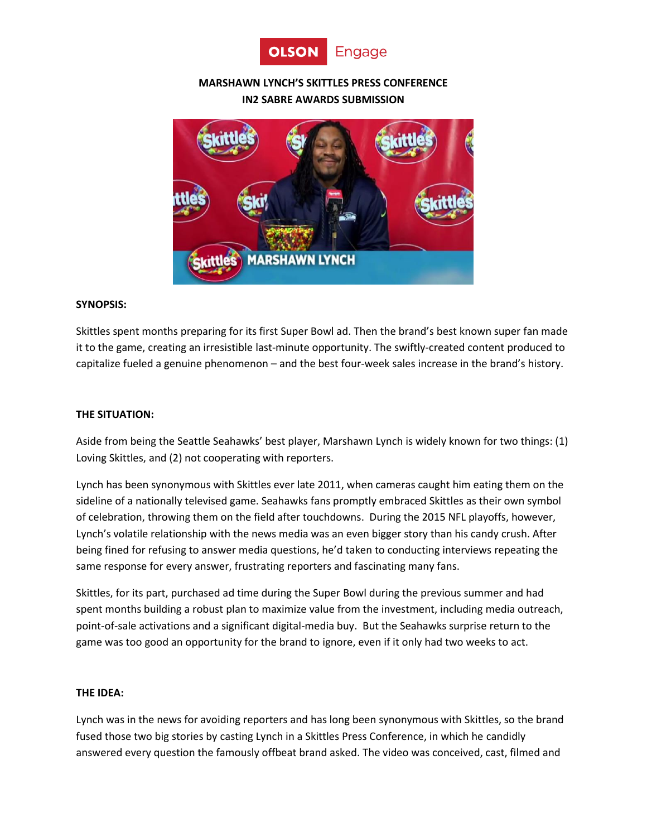

# **MARSHAWN LYNCH'S SKITTLES PRESS CONFERENCE IN2 SABRE AWARDS SUBMISSION**



# **SYNOPSIS:**

Skittles spent months preparing for its first Super Bowl ad. Then the brand's best known super fan made it to the game, creating an irresistible last-minute opportunity. The swiftly-created content produced to capitalize fueled a genuine phenomenon – and the best four-week sales increase in the brand's history.

# **THE SITUATION:**

Aside from being the Seattle Seahawks' best player, Marshawn Lynch is widely known for two things: (1) Loving Skittles, and (2) not cooperating with reporters.

Lynch has been synonymous with Skittles ever late 2011, when cameras caught him eating them on the sideline of a nationally televised game. Seahawks fans promptly embraced Skittles as their own symbol of celebration, throwing them on the field after touchdowns. During the 2015 NFL playoffs, however, Lynch's volatile relationship with the news media was an even bigger story than his candy crush. After being fined for refusing to answer media questions, he'd taken to conducting interviews repeating the same response for every answer, frustrating reporters and fascinating many fans.

Skittles, for its part, purchased ad time during the Super Bowl during the previous summer and had spent months building a robust plan to maximize value from the investment, including media outreach, point-of-sale activations and a significant digital-media buy. But the Seahawks surprise return to the game was too good an opportunity for the brand to ignore, even if it only had two weeks to act.

### **THE IDEA:**

Lynch was in the news for avoiding reporters and has long been synonymous with Skittles, so the brand fused those two big stories by casting Lynch in a Skittles Press Conference, in which he candidly answered every question the famously offbeat brand asked. The video was conceived, cast, filmed and